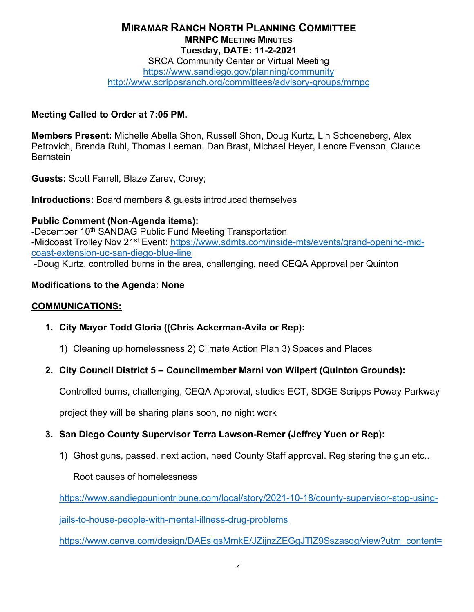# **MIRAMAR RANCH NORTH PLANNING COMMITTEE MRNPC MEETING MINUTES Tuesday, DATE: 11-2-2021**

SRCA Community Center or Virtual Meeting <https://www.sandiego.gov/planning/community> <http://www.scrippsranch.org/committees/advisory-groups/mrnpc>

#### **Meeting Called to Order at 7:05 PM.**

**Members Present:** Michelle Abella Shon, Russell Shon, Doug Kurtz, Lin Schoeneberg, Alex Petrovich, Brenda Ruhl, Thomas Leeman, Dan Brast, Michael Heyer, Lenore Evenson, Claude **Bernstein** 

**Guests:** Scott Farrell, Blaze Zarev, Corey;

**Introductions:** Board members & guests introduced themselves

### **Public Comment (Non-Agenda items):**

-December 10<sup>th</sup> SANDAG Public Fund Meeting Transportation -Midcoast Trolley Nov 21<sup>st</sup> Event: [https://www.sdmts.com/inside-mts/events/grand-opening-mid](https://www.sdmts.com/inside-mts/events/grand-opening-mid-coast-extension-uc-san-diego-blue-line)[coast-extension-uc-san-diego-blue-line](https://www.sdmts.com/inside-mts/events/grand-opening-mid-coast-extension-uc-san-diego-blue-line) -Doug Kurtz, controlled burns in the area, challenging, need CEQA Approval per Quinton

### **Modifications to the Agenda: None**

#### **COMMUNICATIONS:**

- **1. City Mayor Todd Gloria ((Chris Ackerman-Avila or Rep):**
	- 1) Cleaning up homelessness 2) Climate Action Plan 3) Spaces and Places

### **2. City Council District 5 – Councilmember Marni von Wilpert (Quinton Grounds):**

Controlled burns, challenging, CEQA Approval, studies ECT, SDGE Scripps Poway Parkway

project they will be sharing plans soon, no night work

### **3. San Diego County Supervisor Terra Lawson-Remer (Jeffrey Yuen or Rep):**

1) Ghost guns, passed, next action, need County Staff approval. Registering the gun etc..

Root causes of homelessness

[https://www.sandiegouniontribune.com/local/story/2021-10-18/county-supervisor-stop-using-](https://www.sandiegouniontribune.com/local/story/2021-10-18/county-supervisor-stop-using-jails-to-house-people-with-mental-illness-drug-problems)

[jails-to-house-people-with-mental-illness-drug-problems](https://www.sandiegouniontribune.com/local/story/2021-10-18/county-supervisor-stop-using-jails-to-house-people-with-mental-illness-drug-problems) 

https://www.canva.com/design/DAEsigsMmkE/JZijnzZEGgJTlZ9Sszasqg/view?utm\_content=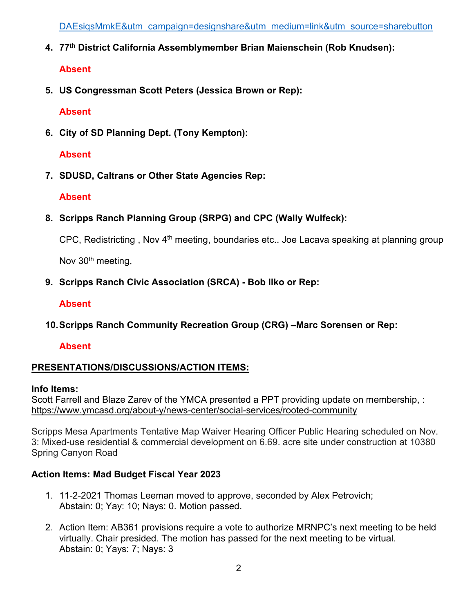DAEsigsMmkE&utm\_campaign=designshare&utm\_medium=link&utm\_source=sharebutton

**4. 77th District California Assemblymember Brian Maienschein (Rob Knudsen):**

# **Absent**

**5. US Congressman Scott Peters (Jessica Brown or Rep):**

# **Absent**

**6. City of SD Planning Dept. (Tony Kempton):**

# **Absent**

**7. SDUSD, Caltrans or Other State Agencies Rep:**

# **Absent**

**8. Scripps Ranch Planning Group (SRPG) and CPC (Wally Wulfeck):**

CPC, Redistricting , Nov 4th meeting, boundaries etc.. Joe Lacava speaking at planning group

Nov 30<sup>th</sup> meeting,

**9. Scripps Ranch Civic Association (SRCA) - Bob Ilko or Rep:**

# **Absent**

**10.Scripps Ranch Community Recreation Group (CRG) –Marc Sorensen or Rep:**

# **Absent**

# **PRESENTATIONS/DISCUSSIONS/ACTION ITEMS:**

### **Info Items:**

Scott Farrell and Blaze Zarev of the YMCA presented a PPT providing update on membership, : <https://www.ymcasd.org/about-y/news-center/social-services/rooted-community>

Scripps Mesa Apartments Tentative Map Waiver Hearing Officer Public Hearing scheduled on Nov. 3: Mixed-use residential & commercial development on 6.69. acre site under construction at 10380 Spring Canyon Road

# **Action Items: Mad Budget Fiscal Year 2023**

- 1. 11-2-2021 Thomas Leeman moved to approve, seconded by Alex Petrovich; Abstain: 0; Yay: 10; Nays: 0. Motion passed.
- 2. Action Item: AB361 provisions require a vote to authorize MRNPC's next meeting to be held virtually. Chair presided. The motion has passed for the next meeting to be virtual. Abstain: 0; Yays: 7; Nays: 3